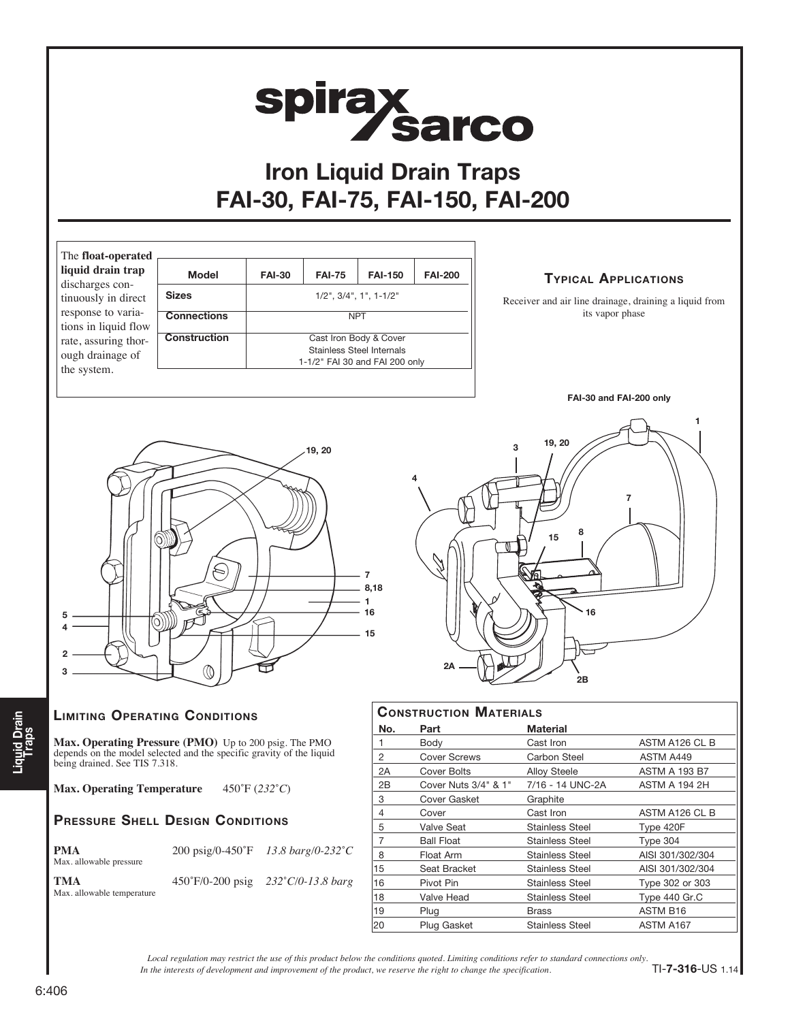

## PRESSURE SHELL DESIGN CONDITIONS

| <b>PMA</b><br>Max. allowable pressure |                            | 200 psig/0-450°F 13.8 barg/0-232°C |
|---------------------------------------|----------------------------|------------------------------------|
| <b>TMA</b>                            | $450^{\circ}$ F/0-200 psig | $232^{\circ}C/0.138$ hare          |

Max. allowable temperature

psig  $232°C/0-13.8$  *barg* 

| No. | Part                 | <b>Material</b>        |                      |
|-----|----------------------|------------------------|----------------------|
| 1   | Body                 | Cast Iron              | ASTM A126 CL B       |
| 2   | <b>Cover Screws</b>  | Carbon Steel           | ASTM A449            |
| 2Α  | <b>Cover Bolts</b>   | <b>Alloy Steele</b>    | <b>ASTM A 193 B7</b> |
| 2B  | Cover Nuts 3/4" & 1" | 7/16 - 14 UNC-2A       | <b>ASTM A 194 2H</b> |
| 3   | Cover Gasket         | Graphite               |                      |
| 4   | Cover                | Cast Iron              | ASTM A126 CL B       |
| 5   | Valve Seat           | <b>Stainless Steel</b> | Type 420F            |
| 7   | <b>Ball Float</b>    | <b>Stainless Steel</b> | Type 304             |
| 8   | Float Arm            | <b>Stainless Steel</b> | AISI 301/302/304     |
| 15  | Seat Bracket         | <b>Stainless Steel</b> | AISI 301/302/304     |
| 16  | Pivot Pin            | <b>Stainless Steel</b> | Type 302 or 303      |
| 18  | Valve Head           | <b>Stainless Steel</b> | Type 440 Gr.C        |
| 19  | Plug                 | <b>Brass</b>           | <b>ASTM B16</b>      |
| 20  | <b>Plug Gasket</b>   | <b>Stainless Steel</b> | ASTM A167            |

*In the interests of development and improvement of the product, we reserve the right to change the specification. Local regulation may restrict the use of this product below the conditions quoted. Limiting conditions refer to standard connections only.*